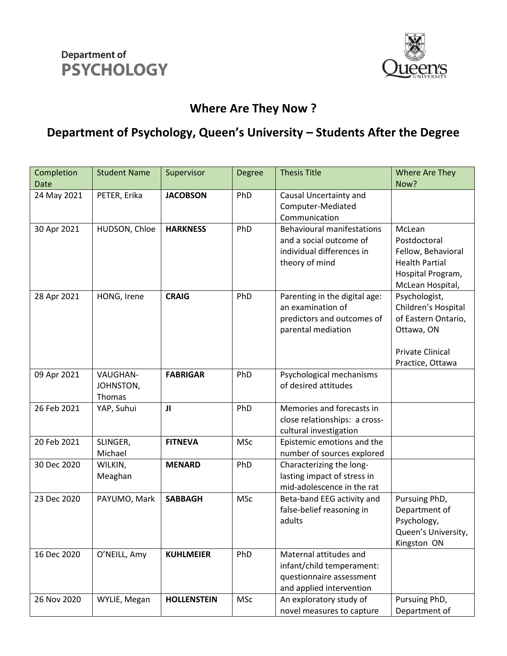



## **Where Are They Now ?**

## **Department of Psychology, Queen's University – Students After the Degree**

| Completion  | <b>Student Name</b>             | Supervisor         | <b>Degree</b> | <b>Thesis Title</b>                                                                                         | Where Are They                                                                                                           |
|-------------|---------------------------------|--------------------|---------------|-------------------------------------------------------------------------------------------------------------|--------------------------------------------------------------------------------------------------------------------------|
| Date        |                                 |                    |               |                                                                                                             | Now?                                                                                                                     |
| 24 May 2021 | PETER, Erika                    | <b>JACOBSON</b>    | PhD           | Causal Uncertainty and<br>Computer-Mediated<br>Communication                                                |                                                                                                                          |
| 30 Apr 2021 | HUDSON, Chloe                   | <b>HARKNESS</b>    | PhD           | <b>Behavioural manifestations</b><br>and a social outcome of<br>individual differences in<br>theory of mind | McLean<br>Postdoctoral<br>Fellow, Behavioral<br><b>Health Partial</b><br>Hospital Program,<br>McLean Hospital,           |
| 28 Apr 2021 | HONG, Irene                     | <b>CRAIG</b>       | PhD           | Parenting in the digital age:<br>an examination of<br>predictors and outcomes of<br>parental mediation      | Psychologist,<br>Children's Hospital<br>of Eastern Ontario,<br>Ottawa, ON<br><b>Private Clinical</b><br>Practice, Ottawa |
| 09 Apr 2021 | VAUGHAN-<br>JOHNSTON,<br>Thomas | <b>FABRIGAR</b>    | PhD           | Psychological mechanisms<br>of desired attitudes                                                            |                                                                                                                          |
| 26 Feb 2021 | YAP, Suhui                      | JI                 | PhD           | Memories and forecasts in<br>close relationships: a cross-<br>cultural investigation                        |                                                                                                                          |
| 20 Feb 2021 | SLINGER,<br>Michael             | <b>FITNEVA</b>     | <b>MSc</b>    | Epistemic emotions and the<br>number of sources explored                                                    |                                                                                                                          |
| 30 Dec 2020 | WILKIN,<br>Meaghan              | <b>MENARD</b>      | PhD           | Characterizing the long-<br>lasting impact of stress in<br>mid-adolescence in the rat                       |                                                                                                                          |
| 23 Dec 2020 | PAYUMO, Mark                    | <b>SABBAGH</b>     | <b>MSc</b>    | Beta-band EEG activity and<br>false-belief reasoning in<br>adults                                           | Pursuing PhD,<br>Department of<br>Psychology,<br>Queen's University,<br>Kingston ON                                      |
| 16 Dec 2020 | O'NEILL, Amy                    | <b>KUHLMEIER</b>   | PhD           | Maternal attitudes and<br>infant/child temperament:<br>questionnaire assessment<br>and applied intervention |                                                                                                                          |
| 26 Nov 2020 | WYLIE, Megan                    | <b>HOLLENSTEIN</b> | <b>MSc</b>    | An exploratory study of<br>novel measures to capture                                                        | Pursuing PhD,<br>Department of                                                                                           |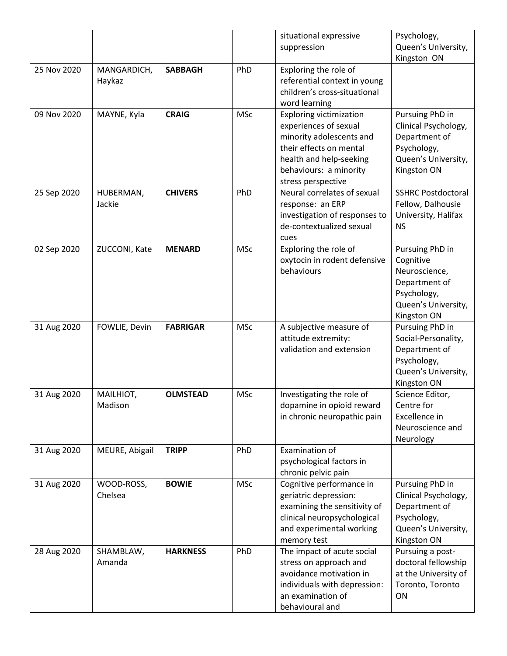|             |                       |                 |            | situational expressive                                | Psychology,                           |
|-------------|-----------------------|-----------------|------------|-------------------------------------------------------|---------------------------------------|
|             |                       |                 |            | suppression                                           | Queen's University,                   |
|             |                       |                 |            |                                                       | Kingston ON                           |
| 25 Nov 2020 | MANGARDICH,           | <b>SABBAGH</b>  | PhD        | Exploring the role of                                 |                                       |
|             | Haykaz                |                 |            | referential context in young                          |                                       |
|             |                       |                 |            | children's cross-situational                          |                                       |
|             |                       |                 |            | word learning                                         |                                       |
| 09 Nov 2020 | MAYNE, Kyla           | <b>CRAIG</b>    | <b>MSc</b> | <b>Exploring victimization</b>                        | Pursuing PhD in                       |
|             |                       |                 |            | experiences of sexual<br>minority adolescents and     | Clinical Psychology,                  |
|             |                       |                 |            | their effects on mental                               | Department of<br>Psychology,          |
|             |                       |                 |            | health and help-seeking                               | Queen's University,                   |
|             |                       |                 |            | behaviours: a minority                                | Kingston ON                           |
|             |                       |                 |            | stress perspective                                    |                                       |
| 25 Sep 2020 | HUBERMAN,             | <b>CHIVERS</b>  | PhD        | Neural correlates of sexual                           | <b>SSHRC Postdoctoral</b>             |
|             | Jackie                |                 |            | response: an ERP                                      | Fellow, Dalhousie                     |
|             |                       |                 |            | investigation of responses to                         | University, Halifax                   |
|             |                       |                 |            | de-contextualized sexual                              | <b>NS</b>                             |
|             |                       |                 |            | cues                                                  |                                       |
| 02 Sep 2020 | ZUCCONI, Kate         | <b>MENARD</b>   | <b>MSc</b> | Exploring the role of                                 | Pursuing PhD in                       |
|             |                       |                 |            | oxytocin in rodent defensive                          | Cognitive                             |
|             |                       |                 |            | behaviours                                            | Neuroscience,                         |
|             |                       |                 |            |                                                       | Department of                         |
|             |                       |                 |            |                                                       | Psychology,                           |
|             |                       |                 |            |                                                       | Queen's University,<br>Kingston ON    |
| 31 Aug 2020 | FOWLIE, Devin         | <b>FABRIGAR</b> | <b>MSc</b> | A subjective measure of                               | Pursuing PhD in                       |
|             |                       |                 |            | attitude extremity:                                   | Social-Personality,                   |
|             |                       |                 |            | validation and extension                              | Department of                         |
|             |                       |                 |            |                                                       | Psychology,                           |
|             |                       |                 |            |                                                       | Queen's University,                   |
|             |                       |                 |            |                                                       | Kingston ON                           |
| 31 Aug 2020 | MAILHIOT,             | <b>OLMSTEAD</b> | <b>MSc</b> | Investigating the role of                             | Science Editor,                       |
|             | Madison               |                 |            | dopamine in opioid reward                             | Centre for                            |
|             |                       |                 |            | in chronic neuropathic pain                           | Excellence in                         |
|             |                       |                 |            |                                                       | Neuroscience and                      |
| 31 Aug 2020 | MEURE, Abigail        | <b>TRIPP</b>    | PhD        | Examination of                                        | Neurology                             |
|             |                       |                 |            | psychological factors in                              |                                       |
|             |                       |                 |            | chronic pelvic pain                                   |                                       |
| 31 Aug 2020 |                       |                 |            |                                                       |                                       |
|             |                       |                 |            |                                                       |                                       |
|             | WOOD-ROSS,<br>Chelsea | <b>BOWIE</b>    | <b>MSc</b> | Cognitive performance in                              | Pursuing PhD in                       |
|             |                       |                 |            | geriatric depression:<br>examining the sensitivity of | Clinical Psychology,<br>Department of |
|             |                       |                 |            | clinical neuropsychological                           | Psychology,                           |
|             |                       |                 |            | and experimental working                              | Queen's University,                   |
|             |                       |                 |            | memory test                                           | Kingston ON                           |
| 28 Aug 2020 | SHAMBLAW,             | <b>HARKNESS</b> | PhD        | The impact of acute social                            | Pursuing a post-                      |
|             | Amanda                |                 |            | stress on approach and                                | doctoral fellowship                   |
|             |                       |                 |            | avoidance motivation in                               | at the University of                  |
|             |                       |                 |            | individuals with depression:                          | Toronto, Toronto                      |
|             |                       |                 |            | an examination of<br>behavioural and                  | ON                                    |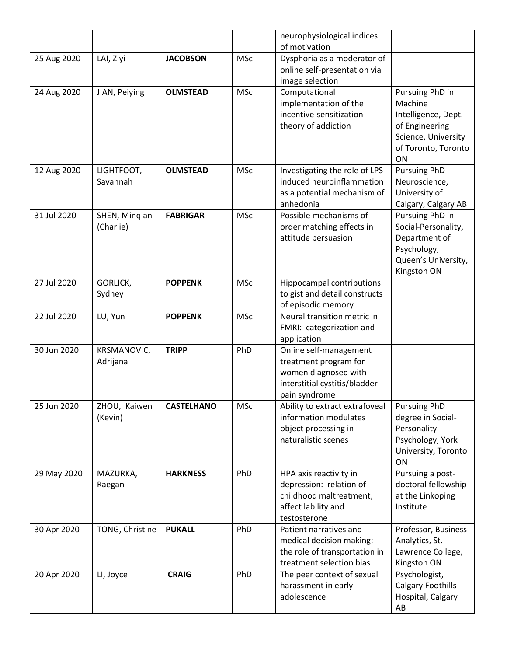|             |                            |                   |            | neurophysiological indices                                                                                                |                                                                                                                 |
|-------------|----------------------------|-------------------|------------|---------------------------------------------------------------------------------------------------------------------------|-----------------------------------------------------------------------------------------------------------------|
|             |                            |                   |            | of motivation                                                                                                             |                                                                                                                 |
| 25 Aug 2020 | LAI, Ziyi                  | <b>JACOBSON</b>   | <b>MSc</b> | Dysphoria as a moderator of<br>online self-presentation via                                                               |                                                                                                                 |
|             |                            |                   |            | image selection                                                                                                           |                                                                                                                 |
| 24 Aug 2020 | JIAN, Peiying              | <b>OLMSTEAD</b>   | <b>MSc</b> | Computational<br>implementation of the<br>incentive-sensitization                                                         | Pursuing PhD in<br>Machine<br>Intelligence, Dept.                                                               |
|             |                            |                   |            | theory of addiction                                                                                                       | of Engineering<br>Science, University<br>of Toronto, Toronto                                                    |
|             |                            |                   |            |                                                                                                                           | ON                                                                                                              |
| 12 Aug 2020 | LIGHTFOOT,<br>Savannah     | <b>OLMSTEAD</b>   | <b>MSc</b> | Investigating the role of LPS-<br>induced neuroinflammation<br>as a potential mechanism of<br>anhedonia                   | <b>Pursuing PhD</b><br>Neuroscience,<br>University of<br>Calgary, Calgary AB                                    |
| 31 Jul 2020 | SHEN, Minqian<br>(Charlie) | <b>FABRIGAR</b>   | <b>MSc</b> | Possible mechanisms of<br>order matching effects in<br>attitude persuasion                                                | Pursuing PhD in<br>Social-Personality,<br>Department of<br>Psychology,<br>Queen's University,<br>Kingston ON    |
| 27 Jul 2020 | <b>GORLICK,</b><br>Sydney  | <b>POPPENK</b>    | <b>MSc</b> | Hippocampal contributions<br>to gist and detail constructs<br>of episodic memory                                          |                                                                                                                 |
| 22 Jul 2020 | LU, Yun                    | <b>POPPENK</b>    | <b>MSc</b> | Neural transition metric in<br>FMRI: categorization and<br>application                                                    |                                                                                                                 |
| 30 Jun 2020 | KRSMANOVIC,<br>Adrijana    | <b>TRIPP</b>      | PhD        | Online self-management<br>treatment program for<br>women diagnosed with<br>interstitial cystitis/bladder<br>pain syndrome |                                                                                                                 |
| 25 Jun 2020 | ZHOU, Kaiwen<br>(Kevin)    | <b>CASTELHANO</b> | MSc        | Ability to extract extrafoveal<br>information modulates<br>object processing in<br>naturalistic scenes                    | <b>Pursuing PhD</b><br>degree in Social-<br>Personality<br>Psychology, York<br>University, Toronto<br><b>ON</b> |
| 29 May 2020 | MAZURKA,<br>Raegan         | <b>HARKNESS</b>   | PhD        | HPA axis reactivity in<br>depression: relation of<br>childhood maltreatment,<br>affect lability and<br>testosterone       | Pursuing a post-<br>doctoral fellowship<br>at the Linkoping<br>Institute                                        |
| 30 Apr 2020 | TONG, Christine            | <b>PUKALL</b>     | PhD        | Patient narratives and<br>medical decision making:<br>the role of transportation in<br>treatment selection bias           | Professor, Business<br>Analytics, St.<br>Lawrence College,<br>Kingston ON                                       |
| 20 Apr 2020 | LI, Joyce                  | <b>CRAIG</b>      | PhD        | The peer context of sexual<br>harassment in early<br>adolescence                                                          | Psychologist,<br><b>Calgary Foothills</b><br>Hospital, Calgary<br>AB                                            |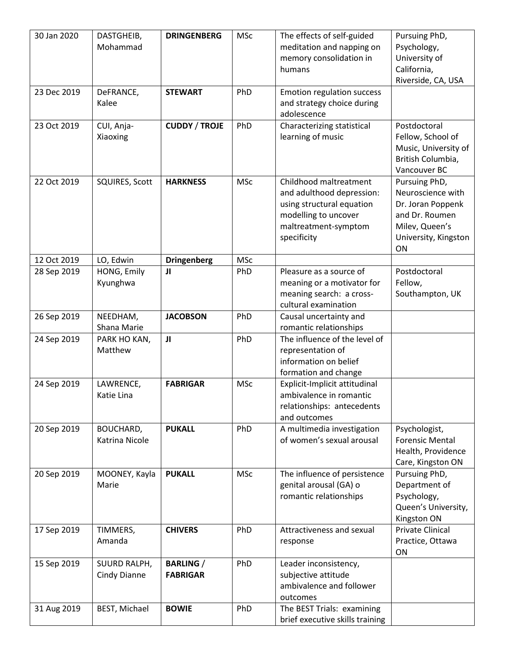| 30 Jan 2020 | DASTGHEIB,<br>Mohammad       | <b>DRINGENBERG</b>                  | <b>MSc</b> | The effects of self-guided<br>meditation and napping on                                                                                         | Pursuing PhD,<br>Psychology,                                                                                              |
|-------------|------------------------------|-------------------------------------|------------|-------------------------------------------------------------------------------------------------------------------------------------------------|---------------------------------------------------------------------------------------------------------------------------|
|             |                              |                                     |            | memory consolidation in<br>humans                                                                                                               | University of<br>California,<br>Riverside, CA, USA                                                                        |
| 23 Dec 2019 | DeFRANCE,<br>Kalee           | <b>STEWART</b>                      | PhD        | Emotion regulation success<br>and strategy choice during<br>adolescence                                                                         |                                                                                                                           |
| 23 Oct 2019 | CUI, Anja-<br>Xiaoxing       | <b>CUDDY / TROJE</b>                | PhD        | Characterizing statistical<br>learning of music                                                                                                 | Postdoctoral<br>Fellow, School of<br>Music, University of<br>British Columbia,<br>Vancouver BC                            |
| 22 Oct 2019 | <b>SQUIRES, Scott</b>        | <b>HARKNESS</b>                     | <b>MSc</b> | Childhood maltreatment<br>and adulthood depression:<br>using structural equation<br>modelling to uncover<br>maltreatment-symptom<br>specificity | Pursuing PhD,<br>Neuroscience with<br>Dr. Joran Poppenk<br>and Dr. Roumen<br>Milev, Queen's<br>University, Kingston<br>ON |
| 12 Oct 2019 | LO, Edwin                    | <b>Dringenberg</b>                  | <b>MSc</b> |                                                                                                                                                 |                                                                                                                           |
| 28 Sep 2019 | HONG, Emily<br>Kyunghwa      | JI                                  | PhD        | Pleasure as a source of<br>meaning or a motivator for<br>meaning search: a cross-<br>cultural examination                                       | Postdoctoral<br>Fellow,<br>Southampton, UK                                                                                |
| 26 Sep 2019 | NEEDHAM,<br>Shana Marie      | <b>JACOBSON</b>                     | PhD        | Causal uncertainty and<br>romantic relationships                                                                                                |                                                                                                                           |
| 24 Sep 2019 | PARK HO KAN,<br>Matthew      | JI                                  | PhD        | The influence of the level of<br>representation of<br>information on belief<br>formation and change                                             |                                                                                                                           |
| 24 Sep 2019 | LAWRENCE,<br>Katie Lina      | <b>FABRIGAR</b>                     | <b>MSc</b> | Explicit-Implicit attitudinal<br>ambivalence in romantic<br>relationships: antecedents<br>and outcomes                                          |                                                                                                                           |
| 20 Sep 2019 | BOUCHARD,<br>Katrina Nicole  | <b>PUKALL</b>                       | PhD        | A multimedia investigation<br>of women's sexual arousal                                                                                         | Psychologist,<br><b>Forensic Mental</b><br>Health, Providence<br>Care, Kingston ON                                        |
| 20 Sep 2019 | MOONEY, Kayla<br>Marie       | <b>PUKALL</b>                       | <b>MSc</b> | The influence of persistence<br>genital arousal (GA) o<br>romantic relationships                                                                | Pursuing PhD,<br>Department of<br>Psychology,<br>Queen's University,<br>Kingston ON                                       |
| 17 Sep 2019 | TIMMERS,<br>Amanda           | <b>CHIVERS</b>                      | PhD        | Attractiveness and sexual<br>response                                                                                                           | <b>Private Clinical</b><br>Practice, Ottawa<br>ON                                                                         |
| 15 Sep 2019 | SUURD RALPH,<br>Cindy Dianne | <b>BARLING</b> /<br><b>FABRIGAR</b> | PhD        | Leader inconsistency,<br>subjective attitude<br>ambivalence and follower<br>outcomes                                                            |                                                                                                                           |
| 31 Aug 2019 | BEST, Michael                | <b>BOWIE</b>                        | PhD        | The BEST Trials: examining<br>brief executive skills training                                                                                   |                                                                                                                           |